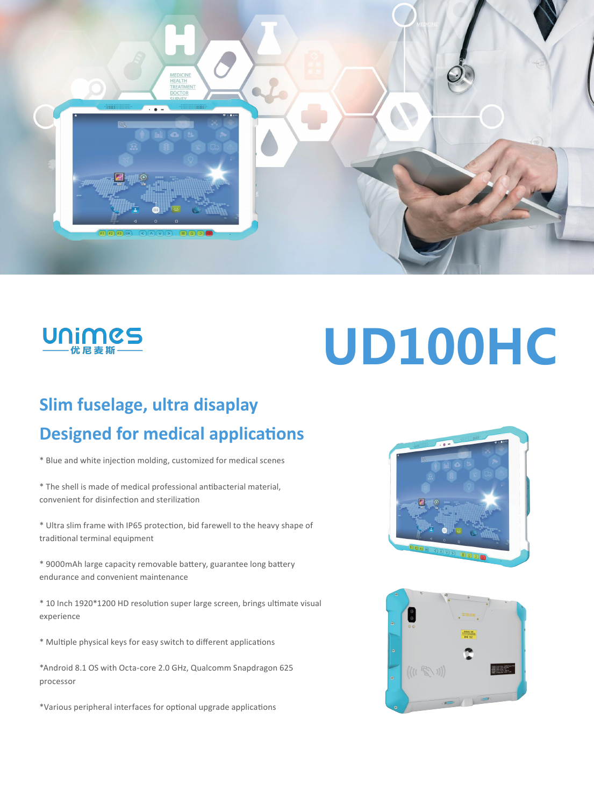



# **UD100HC**

## **Slim fuselage, ultra disaplay Designed for medical applications**

\* Blue and white injection molding, customized for medical scenes

\* The shell is made of medical professional antibacterial material, convenient for disinfection and sterilization

\* Ultra slim frame with IP65 protection, bid farewell to the heavy shape of traditional terminal equipment

\* 9000mAh large capacity removable battery, guarantee long battery endurance and convenient maintenance

\* 10 Inch 1920\*1200 HD resolution super large screen, brings ultimate visual experience

\* Multiple physical keys for easy switch to different applications

\*Android 8.1 OS with Octa-core 2.0 GHz, Qualcomm Snapdragon 625 processor

\*Various peripheral interfaces for optional upgrade applications